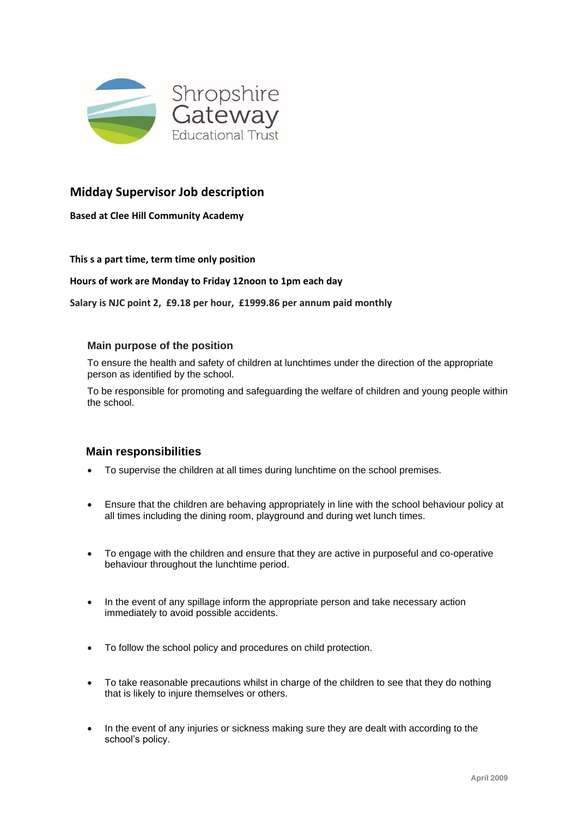

# **Midday Supervisor Job description**

**Based at Clee Hill Community Academy**

### **This s a part time, term time only position**

### **Hours of work are Monday to Friday 12noon to 1pm each day**

**Salary is NJC point 2, £9.18 per hour, £1999.86 per annum paid monthly**

### **Main purpose of the position**

To ensure the health and safety of children at lunchtimes under the direction of the appropriate person as identified by the school.

To be responsible for promoting and safeguarding the welfare of children and young people within the school.

## **Main responsibilities**

- To supervise the children at all times during lunchtime on the school premises.
- Ensure that the children are behaving appropriately in line with the school behaviour policy at all times including the dining room, playground and during wet lunch times.
- To engage with the children and ensure that they are active in purposeful and co-operative behaviour throughout the lunchtime period.
- In the event of any spillage inform the appropriate person and take necessary action immediately to avoid possible accidents.
- To follow the school policy and procedures on child protection.
- To take reasonable precautions whilst in charge of the children to see that they do nothing that is likely to injure themselves or others.
- In the event of any injuries or sickness making sure they are dealt with according to the school's policy.